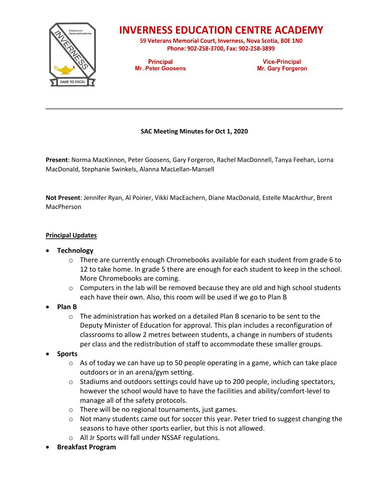

## **INVERNESS EDUCATION CENTRE ACADEMY**

59 Veterans Memorial Court, Inverness, Nova Scotia, BOE 1NO Phone: 902-258-3700, Fax: 902-258-3899

**Principal Mr. Peter Goosens** 

**Vice-Principal Mr. Gary Forgeron** 

### **SAC Meeting Minutes for Oct 1, 2020**

**Present**: Norma MacKinnon, Peter Goosens, Gary Forgeron, Rachel MacDonnell, Tanya Feehan, Lorna MacDonald, Stephanie Swinkels, Alanna MacLellan-Mansell

**Not Present**: Jennifer Ryan, Al Poirier, Vikki MacEachern, Diane MacDonald, Estelle MacArthur, Brent MacPherson

#### **Principal Updates**

- **Technology**
	- $\circ$  There are currently enough Chromebooks available for each student from grade 6 to 12 to take home. In grade 5 there are enough for each student to keep in the school. More Chromebooks are coming.
	- $\circ$  Computers in the lab will be removed because they are old and high school students each have their own. Also, this room will be used if we go to Plan B
- **Plan B** 
	- $\circ$  The administration has worked on a detailed Plan B scenario to be sent to the Deputy Minister of Education for approval. This plan includes a reconfiguration of classrooms to allow 2 metres between students, a change in numbers of students per class and the redistribution of staff to accommodate these smaller groups.
- **Sports**
	- $\circ$  As of today we can have up to 50 people operating in a game, which can take place outdoors or in an arena/gym setting.
	- o Stadiums and outdoors settings could have up to 200 people, including spectators, however the school would have to have the facilities and ability/comfort-level to manage all of the safety protocols.
	- o There will be no regional tournaments, just games.
	- o Not many students came out for soccer this year. Peter tried to suggest changing the seasons to have other sports earlier, but this is not allowed.
	- o All Jr Sports will fall under NSSAF regulations.
- **Breakfast Program**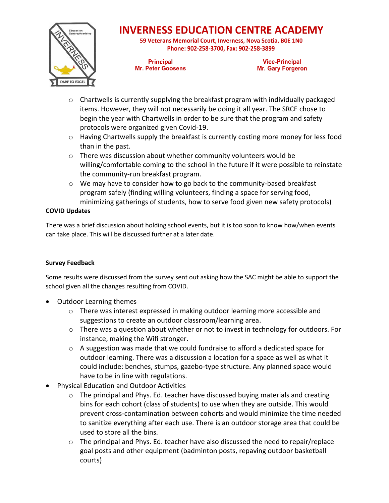

# **INVERNESS EDUCATION CENTRE ACADEMY**

59 Veterans Memorial Court, Inverness, Nova Scotia, BOE 1NO Phone: 902-258-3700, Fax: 902-258-3899

**Principal Mr. Peter Goosens** 

**Vice-Principal Mr. Gary Forgeron** 

- $\circ$  Chartwells is currently supplying the breakfast program with individually packaged items. However, they will not necessarily be doing it all year. The SRCE chose to begin the year with Chartwells in order to be sure that the program and safety protocols were organized given Covid-19.
- $\circ$  Having Chartwells supply the breakfast is currently costing more money for less food than in the past.
- $\circ$  There was discussion about whether community volunteers would be willing/comfortable coming to the school in the future if it were possible to reinstate the community-run breakfast program.
- o We may have to consider how to go back to the community-based breakfast program safely (finding willing volunteers, finding a space for serving food, minimizing gatherings of students, how to serve food given new safety protocols)

### **COVID Updates**

There was a brief discussion about holding school events, but it is too soon to know how/when events can take place. This will be discussed further at a later date.

### **Survey Feedback**

Some results were discussed from the survey sent out asking how the SAC might be able to support the school given all the changes resulting from COVID.

- Outdoor Learning themes
	- $\circ$  There was interest expressed in making outdoor learning more accessible and suggestions to create an outdoor classroom/learning area.
	- $\circ$  There was a question about whether or not to invest in technology for outdoors. For instance, making the Wifi stronger.
	- $\circ$  A suggestion was made that we could fundraise to afford a dedicated space for outdoor learning. There was a discussion a location for a space as well as what it could include: benches, stumps, gazebo-type structure. Any planned space would have to be in line with regulations.
- Physical Education and Outdoor Activities
	- o The principal and Phys. Ed. teacher have discussed buying materials and creating bins for each cohort (class of students) to use when they are outside. This would prevent cross-contamination between cohorts and would minimize the time needed to sanitize everything after each use. There is an outdoor storage area that could be used to store all the bins.
	- $\circ$  The principal and Phys. Ed. teacher have also discussed the need to repair/replace goal posts and other equipment (badminton posts, repaving outdoor basketball courts)